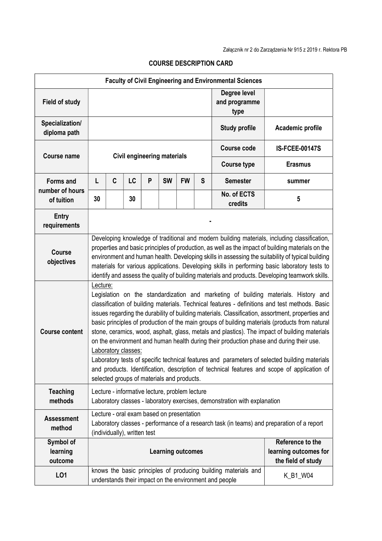| <b>Faculty of Civil Engineering and Environmental Sciences</b> |                                                                                                                                                                                                                                                                                                                                                                                                                                                                                                                                                                                                                                                                                                                                                                                                                                                                           |   |    |   |           |           |                                                                 |                                                                                                                          |                       |
|----------------------------------------------------------------|---------------------------------------------------------------------------------------------------------------------------------------------------------------------------------------------------------------------------------------------------------------------------------------------------------------------------------------------------------------------------------------------------------------------------------------------------------------------------------------------------------------------------------------------------------------------------------------------------------------------------------------------------------------------------------------------------------------------------------------------------------------------------------------------------------------------------------------------------------------------------|---|----|---|-----------|-----------|-----------------------------------------------------------------|--------------------------------------------------------------------------------------------------------------------------|-----------------------|
| <b>Field of study</b>                                          |                                                                                                                                                                                                                                                                                                                                                                                                                                                                                                                                                                                                                                                                                                                                                                                                                                                                           |   |    |   |           |           |                                                                 | Degree level<br>and programme<br>type                                                                                    |                       |
| Specialization/<br>diploma path                                |                                                                                                                                                                                                                                                                                                                                                                                                                                                                                                                                                                                                                                                                                                                                                                                                                                                                           |   |    |   |           |           |                                                                 | <b>Study profile</b>                                                                                                     | Academic profile      |
| <b>Course name</b>                                             | <b>Civil engineering materials</b>                                                                                                                                                                                                                                                                                                                                                                                                                                                                                                                                                                                                                                                                                                                                                                                                                                        |   |    |   |           |           |                                                                 | <b>Course code</b>                                                                                                       | <b>IS-FCEE-00147S</b> |
|                                                                |                                                                                                                                                                                                                                                                                                                                                                                                                                                                                                                                                                                                                                                                                                                                                                                                                                                                           |   |    |   |           |           |                                                                 | <b>Course type</b>                                                                                                       | <b>Erasmus</b>        |
| <b>Forms and</b><br>number of hours                            | L                                                                                                                                                                                                                                                                                                                                                                                                                                                                                                                                                                                                                                                                                                                                                                                                                                                                         | C | LC | P | <b>SW</b> | <b>FW</b> | S                                                               | <b>Semester</b>                                                                                                          | summer                |
| of tuition                                                     | 30                                                                                                                                                                                                                                                                                                                                                                                                                                                                                                                                                                                                                                                                                                                                                                                                                                                                        |   | 30 |   |           |           |                                                                 | No. of ECTS<br>credits                                                                                                   | 5                     |
| <b>Entry</b><br>requirements                                   |                                                                                                                                                                                                                                                                                                                                                                                                                                                                                                                                                                                                                                                                                                                                                                                                                                                                           |   |    |   |           |           |                                                                 |                                                                                                                          |                       |
| <b>Course</b><br>objectives                                    | Developing knowledge of traditional and modern building materials, including classification,<br>properties and basic principles of production, as well as the impact of building materials on the<br>environment and human health. Developing skills in assessing the suitability of typical building<br>materials for various applications. Developing skills in performing basic laboratory tests to<br>identify and assess the quality of building materials and products. Developing teamwork skills.                                                                                                                                                                                                                                                                                                                                                                 |   |    |   |           |           |                                                                 |                                                                                                                          |                       |
| <b>Course content</b>                                          | Lecture:<br>Legislation on the standardization and marketing of building materials. History and<br>classification of building materials. Technical features - definitions and test methods. Basic<br>issues regarding the durability of building materials. Classification, assortment, properties and<br>basic principles of production of the main groups of building materials (products from natural<br>stone, ceramics, wood, asphalt, glass, metals and plastics). The impact of building materials<br>on the environment and human health during their production phase and during their use.<br>Laboratory classes:<br>Laboratory tests of specific technical features and parameters of selected building materials<br>and products. Identification, description of technical features and scope of application of<br>selected groups of materials and products. |   |    |   |           |           |                                                                 |                                                                                                                          |                       |
| <b>Teaching</b><br>methods                                     | Lecture - informative lecture, problem lecture<br>Laboratory classes - laboratory exercises, demonstration with explanation                                                                                                                                                                                                                                                                                                                                                                                                                                                                                                                                                                                                                                                                                                                                               |   |    |   |           |           |                                                                 |                                                                                                                          |                       |
| <b>Assessment</b><br>method                                    | Lecture - oral exam based on presentation<br>Laboratory classes - performance of a research task (in teams) and preparation of a report<br>(individually), written test                                                                                                                                                                                                                                                                                                                                                                                                                                                                                                                                                                                                                                                                                                   |   |    |   |           |           |                                                                 |                                                                                                                          |                       |
| Symbol of<br>learning<br>outcome                               | <b>Learning outcomes</b>                                                                                                                                                                                                                                                                                                                                                                                                                                                                                                                                                                                                                                                                                                                                                                                                                                                  |   |    |   |           |           | Reference to the<br>learning outcomes for<br>the field of study |                                                                                                                          |                       |
| LO1                                                            |                                                                                                                                                                                                                                                                                                                                                                                                                                                                                                                                                                                                                                                                                                                                                                                                                                                                           |   |    |   |           |           |                                                                 | knows the basic principles of producing building materials and<br>understands their impact on the environment and people | K_B1_W04              |

## COURSE DESCRIPTION CARD